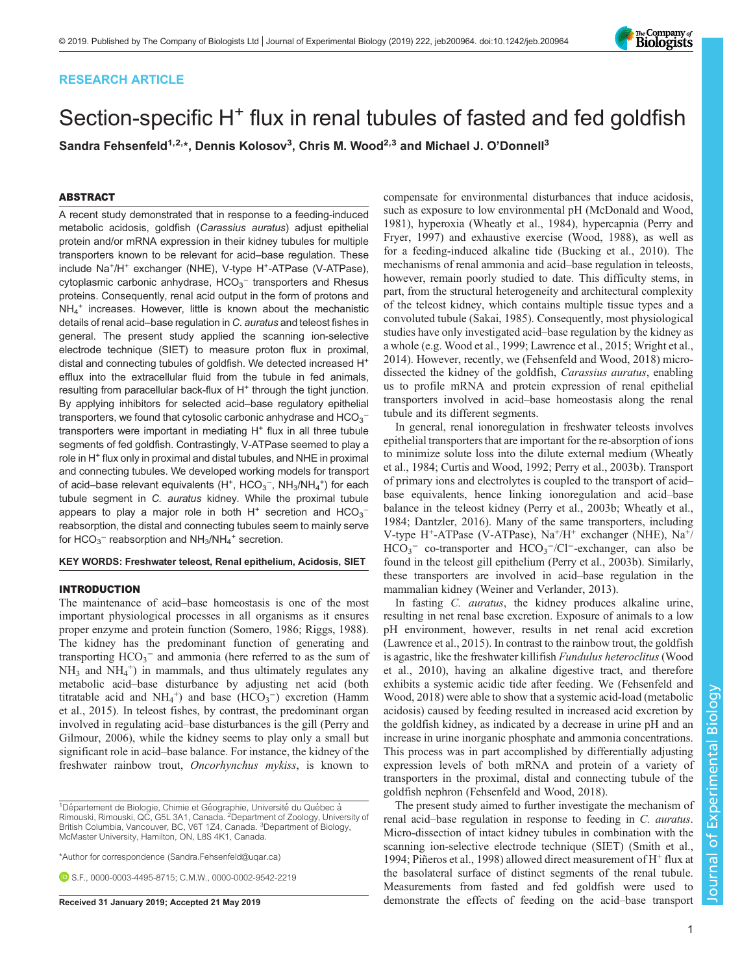# RESEARCH ARTICLE

# Section-specific H<sup>+</sup> flux in renal tubules of fasted and fed goldfish

Sandra Fehsenfeld $^{1,2,*}$ , Dennis Kolosov $^3$ , Chris M. Wood $^{2,3}$  and Michael J. O'Donnell $^3$ 

## ABSTRACT

A recent study demonstrated that in response to a feeding-induced metabolic acidosis, goldfish (Carassius auratus) adjust epithelial protein and/or mRNA expression in their kidney tubules for multiple transporters known to be relevant for acid–base regulation. These include Na<sup>+</sup>/H<sup>+</sup> exchanger (NHE), V-type H<sup>+</sup>-ATPase (V-ATPase), cytoplasmic carbonic anhydrase,  $HCO<sub>3</sub><sup>-</sup>$  transporters and Rhesus proteins. Consequently, renal acid output in the form of protons and NH4 <sup>+</sup> increases. However, little is known about the mechanistic details of renal acid–base regulation in C. auratus and teleost fishes in general. The present study applied the scanning ion-selective electrode technique (SIET) to measure proton flux in proximal, distal and connecting tubules of goldfish. We detected increased H<sup>+</sup> efflux into the extracellular fluid from the tubule in fed animals, resulting from paracellular back-flux of H<sup>+</sup> through the tight junction. By applying inhibitors for selected acid–base regulatory epithelial transporters, we found that cytosolic carbonic anhydrase and  $\mathsf{HCO_3}^$ transporters were important in mediating  $H^+$  flux in all three tubule segments of fed goldfish. Contrastingly, V-ATPase seemed to play a role in H<sup>+</sup> flux only in proximal and distal tubules, and NHE in proximal and connecting tubules. We developed working models for transport of acid–base relevant equivalents (H<sup>+</sup>, HCO<sub>3</sub><sup>-</sup>, NH<sub>3</sub>/NH<sub>4</sub><sup>+</sup>) for each tubule segment in C. auratus kidney. While the proximal tubule appears to play a major role in both  $H^+$  secretion and  $HCO_3^$ reabsorption, the distal and connecting tubules seem to mainly serve for  $HCO_3^-$  reabsorption and  $NH_3/NH_4^+$  secretion.

## KEY WORDS: Freshwater teleost, Renal epithelium, Acidosis, SIET

#### INTRODUCTION

The maintenance of acid–base homeostasis is one of the most important physiological processes in all organisms as it ensures proper enzyme and protein function ([Somero, 1986; Riggs, 1988\)](#page-7-0). The kidney has the predominant function of generating and transporting  $HCO_3^-$  and ammonia (here referred to as the sum of  $NH_3$  and  $NH_4^+$ ) in mammals, and thus ultimately regulates any metabolic acid–base disturbance by adjusting net acid (both titratable acid and NH<sub>4</sub><sup>+</sup>) and base (HCO<sub>3</sub><sup>-</sup>) excretion [\(Hamm](#page-7-0) [et al., 2015\)](#page-7-0). In teleost fishes, by contrast, the predominant organ involved in regulating acid–base disturbances is the gill ([Perry and](#page-7-0) [Gilmour, 2006\)](#page-7-0), while the kidney seems to play only a small but significant role in acid–base balance. For instance, the kidney of the freshwater rainbow trout, Oncorhynchus mykiss, is known to

\*Author for correspondence [\(Sandra.Fehsenfeld@uqar.ca](mailto:Sandra.Fehsenfeld@uqar.ca))

**B.S.F., [0000-0003-4495-8715](http://orcid.org/0000-0003-4495-8715); C.M.W., [0000-0002-9542-2219](http://orcid.org/0000-0002-9542-2219)** 

compensate for environmental disturbances that induce acidosis, such as exposure to low environmental pH [\(McDonald and Wood,](#page-7-0) [1981\)](#page-7-0), hyperoxia ([Wheatly et al., 1984\)](#page-7-0), hypercapnia ([Perry and](#page-7-0) [Fryer, 1997\)](#page-7-0) and exhaustive exercise [\(Wood, 1988\)](#page-7-0), as well as for a feeding-induced alkaline tide ([Bucking et al., 2010](#page-6-0)). The mechanisms of renal ammonia and acid–base regulation in teleosts, however, remain poorly studied to date. This difficulty stems, in part, from the structural heterogeneity and architectural complexity of the teleost kidney, which contains multiple tissue types and a convoluted tubule ([Sakai, 1985](#page-7-0)). Consequently, most physiological studies have only investigated acid–base regulation by the kidney as a whole (e.g. [Wood et al., 1999](#page-7-0); [Lawrence et al., 2015](#page-7-0); [Wright et al.,](#page-7-0) [2014\)](#page-7-0). However, recently, we [\(Fehsenfeld and Wood, 2018\)](#page-6-0) microdissected the kidney of the goldfish, Carassius auratus, enabling us to profile mRNA and protein expression of renal epithelial transporters involved in acid–base homeostasis along the renal tubule and its different segments.

In general, renal ionoregulation in freshwater teleosts involves epithelial transporters that are important for the re-absorption of ions to minimize solute loss into the dilute external medium [\(Wheatly](#page-7-0) [et al., 1984;](#page-7-0) [Curtis and Wood, 1992](#page-6-0); [Perry et al., 2003b](#page-7-0)). Transport of primary ions and electrolytes is coupled to the transport of acid– base equivalents, hence linking ionoregulation and acid–base balance in the teleost kidney [\(Perry et al., 2003b; Wheatly et al.,](#page-7-0) [1984;](#page-7-0) [Dantzler, 2016](#page-6-0)). Many of the same transporters, including V-type H<sup>+</sup>-ATPase (V-ATPase),  $Na^{+}/H^{+}$  exchanger (NHE),  $Na^{+}/$ HCO<sub>3</sub><sup>-</sup> co-transporter and HCO<sub>3</sub><sup>-</sup>/Cl<sup>-</sup>-exchanger, can also be found in the teleost gill epithelium ([Perry et al., 2003b\)](#page-7-0). Similarly, these transporters are involved in acid–base regulation in the mammalian kidney [\(Weiner and Verlander, 2013\)](#page-7-0).

In fasting *C. auratus*, the kidney produces alkaline urine, resulting in net renal base excretion. Exposure of animals to a low pH environment, however, results in net renal acid excretion [\(Lawrence et al., 2015\)](#page-7-0). In contrast to the rainbow trout, the goldfish is agastric, like the freshwater killifish Fundulus heteroclitus [\(Wood](#page-7-0) [et al., 2010](#page-7-0)), having an alkaline digestive tract, and therefore exhibits a systemic acidic tide after feeding. We ([Fehsenfeld and](#page-6-0) [Wood, 2018\)](#page-6-0) were able to show that a systemic acid-load (metabolic acidosis) caused by feeding resulted in increased acid excretion by the goldfish kidney, as indicated by a decrease in urine pH and an increase in urine inorganic phosphate and ammonia concentrations. This process was in part accomplished by differentially adjusting expression levels of both mRNA and protein of a variety of transporters in the proximal, distal and connecting tubule of the goldfish nephron [\(Fehsenfeld and Wood, 2018](#page-6-0)).

The present study aimed to further investigate the mechanism of renal acid–base regulation in response to feeding in C. auratus. Micro-dissection of intact kidney tubules in combination with the scanning ion-selective electrode technique (SIET) ([Smith et al.,](#page-7-0) [1994; Piñeros et al., 1998\)](#page-7-0) allowed direct measurement of  $H^+$  flux at the basolateral surface of distinct segments of the renal tubule. Measurements from fasted and fed goldfish were used to Received 31 January 2019; Accepted 21 May 2019 demonstrate the effects of feeding on the acid–base transport

Journal of Experimental Biology

 $\overline{\circ}$ 

Journal

Experimental Biology



<sup>&</sup>lt;sup>1</sup>Département de Biologie, Chimie et Géographie, Université du Québec à<br>Rimouski, Rimouski, QC, G5L 3A1, Canada. <sup>2</sup>Department of Zoology, University of British Columbia, Vancouver, BC, V6T 1Z4, Canada. <sup>3</sup>Department of Biology, McMaster University, Hamilton, ON, L8S 4K1, Canada.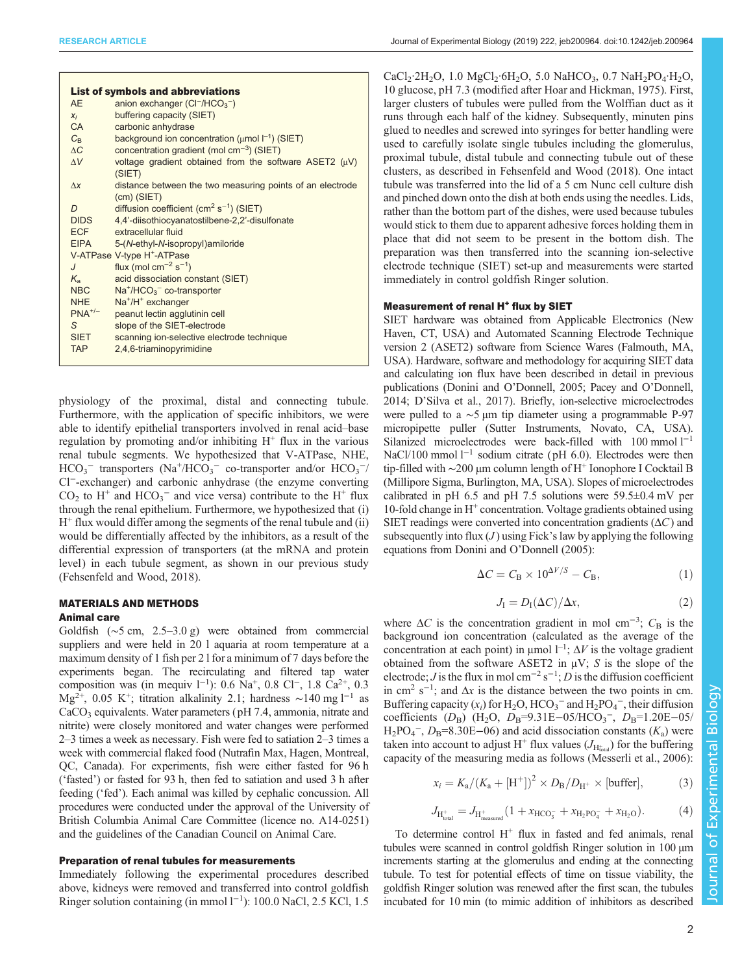| Journal of Experimental Biology (2019) 222, jeb 200964. doi:10.1242/jeb.200964 |  |
|--------------------------------------------------------------------------------|--|
|--------------------------------------------------------------------------------|--|

| <b>List of symbols and abbreviations</b> |                                                                            |  |
|------------------------------------------|----------------------------------------------------------------------------|--|
| <b>AE</b>                                | anion exchanger $(Cl-/HCO3-)$                                              |  |
| $X_i$                                    | buffering capacity (SIET)                                                  |  |
| <b>CA</b>                                | carbonic anhydrase                                                         |  |
| $C_{\rm R}$                              | background ion concentration ( $\mu$ mol $\vert^{-1}$ ) (SIET)             |  |
| $\Delta C$                               | concentration gradient (mol $cm^{-3}$ ) (SIET)                             |  |
| $\Delta V$                               | voltage gradient obtained from the software ASET2 $(\mu V)$<br>(SIET)      |  |
| $\Lambda x$                              | distance between the two measuring points of an electrode<br>$(cm)$ (SIET) |  |
| D                                        | diffusion coefficient ( $\text{cm}^2 \text{ s}^{-1}$ ) (SIET)              |  |
| <b>DIDS</b>                              | 4,4'-diisothiocyanatostilbene-2,2'-disulfonate                             |  |
| <b>ECF</b>                               | extracellular fluid                                                        |  |
| <b>EIPA</b>                              | 5-(N-ethyl-N-isopropyl)amiloride                                           |  |
|                                          | V-ATPase V-type H <sup>+</sup> -ATPase                                     |  |
| $\overline{J}$                           | flux (mol $cm^{-2}$ s <sup>-1</sup> )                                      |  |
| $K_{\rm a}$                              | acid dissociation constant (SIET)                                          |  |
| <b>NBC</b>                               | $Na+/HCO3- co-transporter$                                                 |  |
| <b>NHE</b>                               | Na <sup>+</sup> /H <sup>+</sup> exchanger                                  |  |
| $PNA^{+/-}$                              | peanut lectin agglutinin cell                                              |  |
| S                                        | slope of the SIET-electrode                                                |  |
| <b>SIET</b>                              | scanning ion-selective electrode technique                                 |  |
| <b>TAP</b>                               | 2.4.6-triaminopyrimidine                                                   |  |

physiology of the proximal, distal and connecting tubule. Furthermore, with the application of specific inhibitors, we were able to identify epithelial transporters involved in renal acid–base regulation by promoting and/or inhibiting  $H^+$  flux in the various renal tubule segments. We hypothesized that V-ATPase, NHE,  $HCO_3^-$  transporters (Na<sup>+</sup>/HCO<sub>3</sub><sup>-</sup> co-transporter and/or  $HCO_3^-$ / Cl−-exchanger) and carbonic anhydrase (the enzyme converting  $CO<sub>2</sub>$  to H<sup>+</sup> and HCO<sub>3</sub><sup>-</sup> and vice versa) contribute to the H<sup>+</sup> flux through the renal epithelium. Furthermore, we hypothesized that (i)  $H<sup>+</sup>$  flux would differ among the segments of the renal tubule and (ii) would be differentially affected by the inhibitors, as a result of the differential expression of transporters (at the mRNA and protein level) in each tubule segment, as shown in our previous study [\(Fehsenfeld and Wood, 2018\)](#page-6-0).

# MATERIALS AND METHODS

# Animal care

Goldfish (∼5 cm, 2.5–3.0 g) were obtained from commercial suppliers and were held in 20 l aquaria at room temperature at a maximum density of 1 fish per 2 l for a minimum of 7 days before the experiments began. The recirculating and filtered tap water composition was (in mequiv  $1^{-1}$ ): 0.6 Na<sup>+</sup>, 0.8 Cl<sup>−</sup>, 1.8 Ca<sup>2+</sup>, 0.3  $Mg^{2+}$ , 0.05 K<sup>+</sup>; titration alkalinity 2.1; hardness ~140 mg l<sup>-1</sup> as CaCO<sub>3</sub> equivalents. Water parameters (pH 7.4, ammonia, nitrate and nitrite) were closely monitored and water changes were performed 2–3 times a week as necessary. Fish were fed to satiation 2–3 times a week with commercial flaked food (Nutrafin Max, Hagen, Montreal, QC, Canada). For experiments, fish were either fasted for 96 h ('fasted') or fasted for 93 h, then fed to satiation and used 3 h after feeding ('fed'). Each animal was killed by cephalic concussion. All procedures were conducted under the approval of the University of British Columbia Animal Care Committee (licence no. A14-0251) and the guidelines of the Canadian Council on Animal Care.

#### Preparation of renal tubules for measurements

Immediately following the experimental procedures described above, kidneys were removed and transferred into control goldfish Ringer solution containing (in mmol 1<sup>-1</sup>): 100.0 NaCl, 2.5 KCl, 1.5

CaCl<sub>2</sub>·2H<sub>2</sub>O, 1.0 MgCl<sub>2</sub>·6H<sub>2</sub>O, 5.0 NaHCO<sub>3</sub>, 0.7 NaH<sub>2</sub>PO<sub>4</sub>·H<sub>2</sub>O, 10 glucose, pH 7.3 (modified after [Hoar and Hickman, 1975](#page-7-0)). First, larger clusters of tubules were pulled from the Wolffian duct as it runs through each half of the kidney. Subsequently, minuten pins glued to needles and screwed into syringes for better handling were used to carefully isolate single tubules including the glomerulus, proximal tubule, distal tubule and connecting tubule out of these clusters, as described in [Fehsenfeld and Wood \(2018\).](#page-6-0) One intact tubule was transferred into the lid of a 5 cm Nunc cell culture dish and pinched down onto the dish at both ends using the needles. Lids, rather than the bottom part of the dishes, were used because tubules would stick to them due to apparent adhesive forces holding them in place that did not seem to be present in the bottom dish. The preparation was then transferred into the scanning ion-selective electrode technique (SIET) set-up and measurements were started immediately in control goldfish Ringer solution.

# Measurement of renal H<sup>+</sup> flux by SIET

SIET hardware was obtained from Applicable Electronics (New Haven, CT, USA) and Automated Scanning Electrode Technique version 2 (ASET2) software from Science Wares (Falmouth, MA, USA). Hardware, software and methodology for acquiring SIET data and calculating ion flux have been described in detail in previous publications (Donini and O'[Donnell, 2005;](#page-6-0) [Pacey and O](#page-7-0)'Donnell, [2014;](#page-7-0) D'[Silva et al., 2017\)](#page-6-0). Briefly, ion-selective microelectrodes were pulled to a ∼5 μm tip diameter using a programmable P-97 micropipette puller (Sutter Instruments, Novato, CA, USA). Silanized microelectrodes were back-filled with 100 mmol l−<sup>1</sup> NaCl/100 mmol l<sup>-1</sup> sodium citrate (pH 6.0). Electrodes were then tip-filled with ~200 μm column length of H<sup>+</sup> Ionophore I Cocktail B (Millipore Sigma, Burlington, MA, USA). Slopes of microelectrodes calibrated in pH 6.5 and pH 7.5 solutions were  $59.5\pm0.4$  mV per 10-fold change in  $H^+$  concentration. Voltage gradients obtained using SIET readings were converted into concentration gradients  $( \Delta C )$  and subsequently into flux  $(J)$  using Fick's law by applying the following equations from Donini and O'[Donnell \(2005\)](#page-6-0):

$$
\Delta C = C_{\rm B} \times 10^{\Delta V/S} - C_{\rm B},\tag{1}
$$

$$
J_{\rm I} = D_{\rm I}(\Delta C)/\Delta x,\tag{2}
$$

where  $\Delta C$  is the concentration gradient in mol cm<sup>-3</sup>;  $C_B$  is the background ion concentration (calculated as the average of the concentration at each point) in  $\mu$ mol  $l^{-1}$ ;  $\Delta V$  is the voltage gradient obtained from the software ASET2 in  $\mu$ V; S is the slope of the electrode; *J* is the flux in mol cm<sup>-2</sup> s<sup>-1</sup>; *D* is the diffusion coefficient in cm<sup>2</sup> s<sup>-1</sup>; and  $\Delta x$  is the distance between the two points in cm. Buffering capacity  $(x_i)$  for  $H_2O$ ,  $HCO_3^-$  and  $H_2PO_4^-$ , their diffusion coefficients  $(D_B)$  (H<sub>2</sub>O, D<sub>B</sub>=9.31E-05/HCO<sub>3</sub><sup>-</sup>, D<sub>B</sub>=1.20E-05/  $H_2PO_4^-$ ,  $D_B=8.30E-06$ ) and acid dissociation constants  $(K_a)$  were taken into account to adjust H<sup>+</sup> flux values ( $J_{H_{total}}$ ) for the buffering capacity of the measuring media as follows [\(Messerli et al., 2006](#page-7-0)):

$$
x_i = K_a / (K_a + [\mathrm{H}^+])^2 \times D_\mathrm{B} / D_{\mathrm{H}^+} \times [\text{buffer}], \tag{3}
$$

$$
J_{H_{total}^{+}} = J_{H_{measured}^{+}} (1 + x_{HCO_3^{-}} + x_{H_2PO_4^{-}} + x_{H_2O}).
$$
 (4)

To determine control  $H^+$  flux in fasted and fed animals, renal tubules were scanned in control goldfish Ringer solution in 100 µm increments starting at the glomerulus and ending at the connecting tubule. To test for potential effects of time on tissue viability, the goldfish Ringer solution was renewed after the first scan, the tubules incubated for 10 min (to mimic addition of inhibitors as described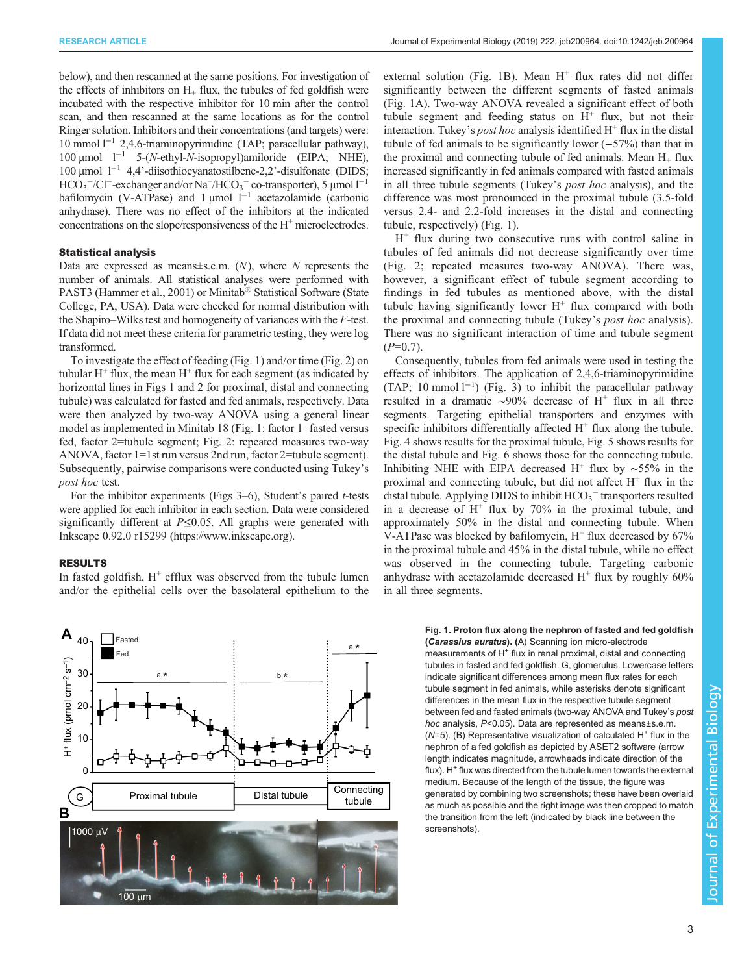<span id="page-2-0"></span>below), and then rescanned at the same positions. For investigation of the effects of inhibitors on  $H_+$  flux, the tubules of fed goldfish were incubated with the respective inhibitor for 10 min after the control scan, and then rescanned at the same locations as for the control Ringer solution. Inhibitors and their concentrations (and targets) were: 10 mmol l−<sup>1</sup> 2,4,6-triaminopyrimidine (TAP; paracellular pathway), 100 μmol l<sup>−1</sup> 5-(N-ethyl-N-isopropyl)amiloride (EIPA; NHE), 100 µmol l−<sup>1</sup> 4,4'-diisothiocyanatostilbene-2,2'-disulfonate (DIDS;  $HCO_3^-/Cl^-$ -exchanger and/or Na<sup>+</sup>/HCO<sub>3</sub><sup>-</sup> co-transporter), 5 µmol l<sup>-1</sup> bafilomycin (V-ATPase) and 1 µmol  $l^{-1}$  acetazolamide (carbonic anhydrase). There was no effect of the inhibitors at the indicated concentrations on the slope/responsiveness of the H<sup>+</sup> microelectrodes.

#### Statistical analysis

Data are expressed as means $\pm$ s.e.m.  $(N)$ , where N represents the number of animals. All statistical analyses were performed with PAST3 [\(Hammer et al., 2001](#page-7-0)) or Minitab® Statistical Software (State College, PA, USA). Data were checked for normal distribution with the Shapiro–Wilks test and homogeneity of variances with the F-test. If data did not meet these criteria for parametric testing, they were log transformed.

To investigate the effect of feeding (Fig. 1) and/or time [\(Fig. 2\)](#page-3-0) on tubular  $H^+$  flux, the mean  $H^+$  flux for each segment (as indicated by horizontal lines in Figs 1 and [2](#page-3-0) for proximal, distal and connecting tubule) was calculated for fasted and fed animals, respectively. Data were then analyzed by two-way ANOVA using a general linear model as implemented in Minitab 18 (Fig. 1: factor 1=fasted versus fed, factor 2=tubule segment; [Fig. 2:](#page-3-0) repeated measures two-way ANOVA, factor 1=1st run versus 2nd run, factor 2=tubule segment). Subsequently, pairwise comparisons were conducted using Tukey's post hoc test.

For the inhibitor experiments (Figs  $3-6$  $3-6$ ), Student's paired *t*-tests were applied for each inhibitor in each section. Data were considered significantly different at  $P \le 0.05$ . All graphs were generated with Inkscape 0.92.0 r15299 [\(https://www.inkscape.org\)](https://www.inkscape.org).

## RESULTS

In fasted goldfish,  $H^+$  efflux was observed from the tubule lumen and/or the epithelial cells over the basolateral epithelium to the external solution (Fig. 1B). Mean  $H^+$  flux rates did not differ significantly between the different segments of fasted animals (Fig. 1A). Two-way ANOVA revealed a significant effect of both tubule segment and feeding status on  $H^+$  flux, but not their interaction. Tukey's *post hoc* analysis identified  $H^+$  flux in the distal tubule of fed animals to be significantly lower (−57%) than that in the proximal and connecting tubule of fed animals. Mean  $H_{+}$  flux increased significantly in fed animals compared with fasted animals in all three tubule segments (Tukey's post hoc analysis), and the difference was most pronounced in the proximal tubule (3.5-fold versus 2.4- and 2.2-fold increases in the distal and connecting tubule, respectively) (Fig. 1).

 $H<sup>+</sup>$  flux during two consecutive runs with control saline in tubules of fed animals did not decrease significantly over time [\(Fig. 2](#page-3-0); repeated measures two-way ANOVA). There was, however, a significant effect of tubule segment according to findings in fed tubules as mentioned above, with the distal tubule having significantly lower  $H^+$  flux compared with both the proximal and connecting tubule (Tukey's post hoc analysis). There was no significant interaction of time and tubule segment  $(P=0.7)$ .

Consequently, tubules from fed animals were used in testing the effects of inhibitors. The application of 2,4,6-triaminopyrimidine (TAP; 10 mmol  $1^{-1}$ ) ([Fig. 3\)](#page-3-0) to inhibit the paracellular pathway resulted in a dramatic ∼90% decrease of H<sup>+</sup> flux in all three segments. Targeting epithelial transporters and enzymes with specific inhibitors differentially affected  $H^+$  flux along the tubule. [Fig. 4](#page-3-0) shows results for the proximal tubule, [Fig. 5](#page-3-0) shows results for the distal tubule and [Fig. 6](#page-4-0) shows those for the connecting tubule. Inhibiting NHE with EIPA decreased H<sup>+</sup> flux by ~55% in the proximal and connecting tubule, but did not affect  $H^+$  flux in the distal tubule. Applying DIDS to inhibit  $HCO_3^-$  transporters resulted in a decrease of  $H^+$  flux by 70% in the proximal tubule, and approximately 50% in the distal and connecting tubule. When V-ATPase was blocked by bafilomycin,  $H^+$  flux decreased by 67% in the proximal tubule and 45% in the distal tubule, while no effect was observed in the connecting tubule. Targeting carbonic anhydrase with acetazolamide decreased  $H^+$  flux by roughly 60% in all three segments.



#### Fig. 1. Proton flux along the nephron of fasted and fed goldfish (Carassius auratus). (A) Scanning ion micro-electrode

measurements of H<sup>+</sup> flux in renal proximal, distal and connecting tubules in fasted and fed goldfish. G, glomerulus. Lowercase letters indicate significant differences among mean flux rates for each tubule segment in fed animals, while asterisks denote significant differences in the mean flux in the respective tubule segment between fed and fasted animals (two-way ANOVA and Tukey's post hoc analysis, P<0.05). Data are represented as means±s.e.m. ( $N=5$ ). (B) Representative visualization of calculated H<sup>+</sup> flux in the nephron of a fed goldfish as depicted by ASET2 software (arrow length indicates magnitude, arrowheads indicate direction of the  $flux)$ . H<sup> $+$ </sup> flux was directed from the tubule lumen towards the external medium. Because of the length of the tissue, the figure was generated by combining two screenshots; these have been overlaid as much as possible and the right image was then cropped to match the transition from the left (indicated by black line between the screenshots).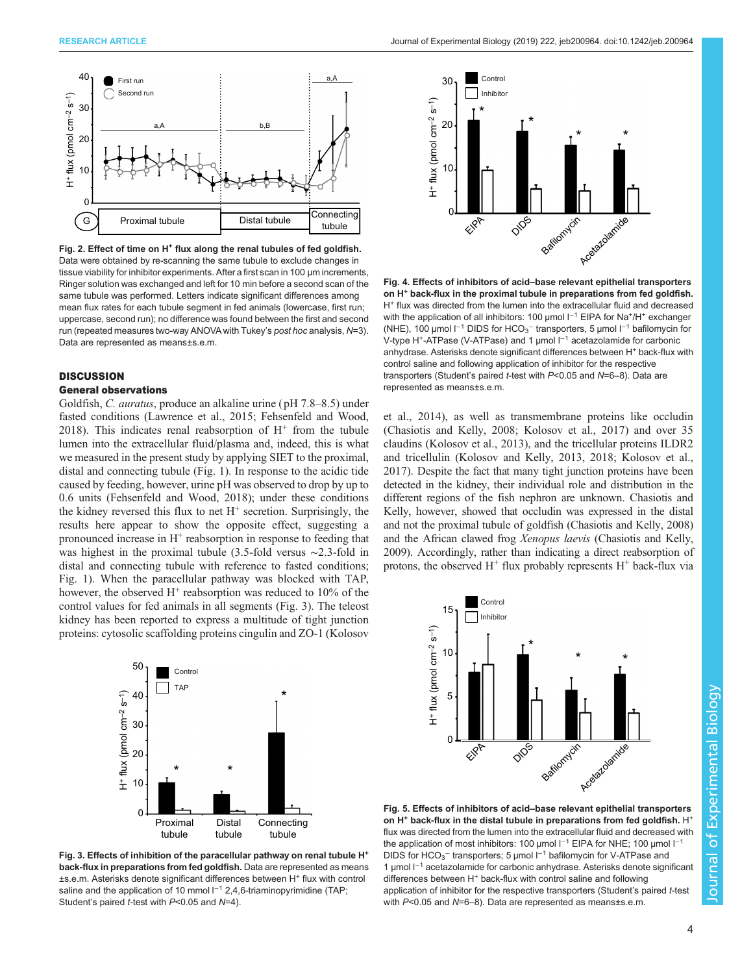<span id="page-3-0"></span>

Fig. 2. Effect of time on H<sup>+</sup> flux along the renal tubules of fed goldfish. Data were obtained by re-scanning the same tubule to exclude changes in tissue viability for inhibitor experiments. After a first scan in 100 µm increments, Ringer solution was exchanged and left for 10 min before a second scan of the same tubule was performed. Letters indicate significant differences among mean flux rates for each tubule segment in fed animals (lowercase, first run; uppercase, second run); no difference was found between the first and second run (repeated measures two-way ANOVA with Tukey's post hoc analysis, N=3). Data are represented as means±s.e.m.

#### **DISCUSSION**

#### General observations

Goldfish, C. auratus, produce an alkaline urine ( pH 7.8–8.5) under fasted conditions [\(Lawrence et al., 2015;](#page-7-0) [Fehsenfeld and Wood,](#page-6-0) [2018](#page-6-0)). This indicates renal reabsorption of  $H^+$  from the tubule lumen into the extracellular fluid/plasma and, indeed, this is what we measured in the present study by applying SIET to the proximal, distal and connecting tubule [\(Fig. 1\)](#page-2-0). In response to the acidic tide caused by feeding, however, urine pH was observed to drop by up to 0.6 units ([Fehsenfeld and Wood, 2018](#page-6-0)); under these conditions the kidney reversed this flux to net  $H^+$  secretion. Surprisingly, the results here appear to show the opposite effect, suggesting a pronounced increase in  $H^+$  reabsorption in response to feeding that was highest in the proximal tubule (3.5-fold versus ∼2.3-fold in distal and connecting tubule with reference to fasted conditions; [Fig. 1\)](#page-2-0). When the paracellular pathway was blocked with TAP, however, the observed  $H^+$  reabsorption was reduced to 10% of the control values for fed animals in all segments (Fig. 3). The teleost kidney has been reported to express a multitude of tight junction proteins: cytosolic scaffolding proteins cingulin and ZO-1 [\(Kolosov](#page-7-0)



Fig. 3. Effects of inhibition of the paracellular pathway on renal tubule H<sup>+</sup> back-flux in preparations from fed goldfish. Data are represented as means ±s.e.m. Asterisks denote significant differences between H<sup>+</sup> flux with control saline and the application of 10 mmol l<sup>-1</sup> 2,4,6-triaminopyrimidine (TAP; Student's paired *t*-test with P<0.05 and N=4).



Fig. 4. Effects of inhibitors of acid–base relevant epithelial transporters on H<sup>+</sup> back-flux in the proximal tubule in preparations from fed goldfish. H<sup>+</sup> flux was directed from the lumen into the extracellular fluid and decreased with the application of all inhibitors: 100 μmol l<sup>-1</sup> EIPA for Na<sup>+</sup>/H<sup>+</sup> exchanger (NHE), 100 μmol l<sup>-1</sup> DIDS for HCO<sub>3</sub><sup>-</sup> transporters, 5 μmol l<sup>-1</sup> bafilomycin for V-type H<sup>+</sup>-ATPase (V-ATPase) and 1 µmol l<sup>-1</sup> acetazolamide for carbonic anhydrase. Asterisks denote significant differences between H<sup>+</sup> back-flux with control saline and following application of inhibitor for the respective transporters (Student's paired t-test with P<0.05 and N=6–8). Data are represented as means±s.e.m.

[et al., 2014\)](#page-7-0), as well as transmembrane proteins like occludin [\(Chasiotis and Kelly, 2008](#page-6-0); [Kolosov et al., 2017](#page-7-0)) and over 35 claudins [\(Kolosov et al., 2013](#page-7-0)), and the tricellular proteins ILDR2 and tricellulin [\(Kolosov and Kelly, 2013](#page-7-0), [2018](#page-7-0); [Kolosov et al.,](#page-7-0) [2017\)](#page-7-0). Despite the fact that many tight junction proteins have been detected in the kidney, their individual role and distribution in the different regions of the fish nephron are unknown. Chasiotis and Kelly, however, showed that occludin was expressed in the distal and not the proximal tubule of goldfish [\(Chasiotis and Kelly, 2008\)](#page-6-0) and the African clawed frog Xenopus laevis ([Chasiotis and Kelly,](#page-6-0) [2009\)](#page-6-0). Accordingly, rather than indicating a direct reabsorption of protons, the observed  $H^+$  flux probably represents  $H^+$  back-flux via



Fig. 5. Effects of inhibitors of acid–base relevant epithelial transporters on  $H^+$  back-flux in the distal tubule in preparations from fed goldfish.  $H^+$ flux was directed from the lumen into the extracellular fluid and decreased with the application of most inhibitors: 100 µmol  $I^{-1}$  EIPA for NHE; 100 µmol  $I^{-1}$ DIDS for HCO<sub>3</sub><sup>-</sup> transporters; 5 µmol l<sup>-1</sup> bafilomycin for V-ATPase and 1 µmol l−<sup>1</sup> acetazolamide for carbonic anhydrase. Asterisks denote significant differences between H<sup>+</sup> back-flux with control saline and following application of inhibitor for the respective transporters (Student's paired t-test with P<0.05 and N=6–8). Data are represented as means±s.e.m.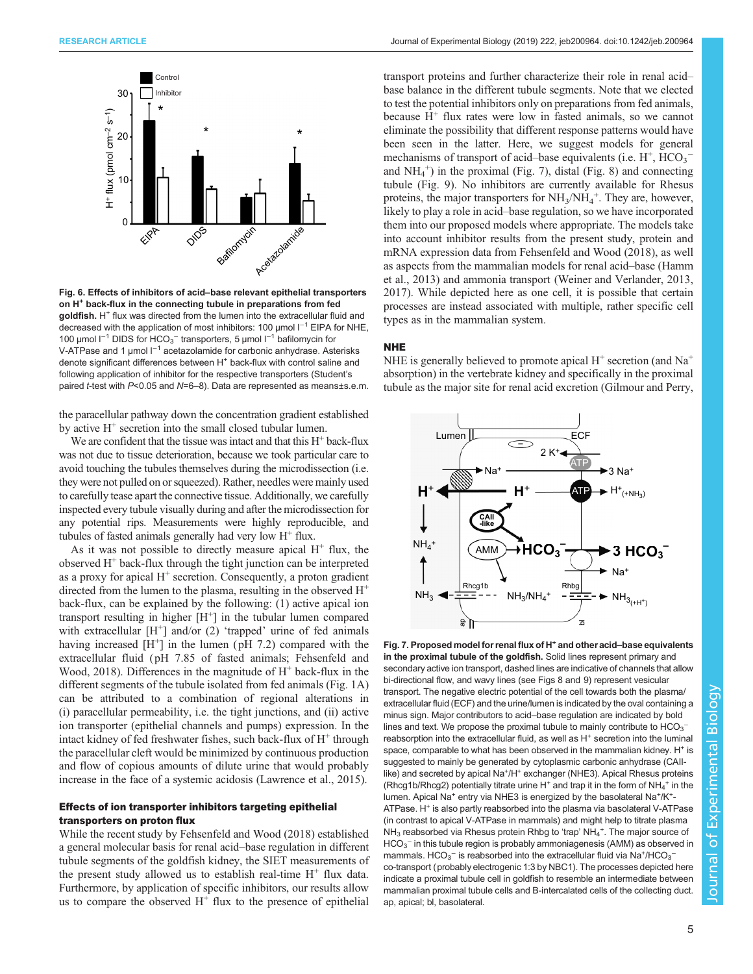<span id="page-4-0"></span>

Fig. 6. Effects of inhibitors of acid–base relevant epithelial transporters on H<sup>+</sup> back-flux in the connecting tubule in preparations from fed goldfish. H<sup>+</sup> flux was directed from the lumen into the extracellular fluid and decreased with the application of most inhibitors: 100 µmol l<sup>−1</sup> EIPA for NHE, 100 μmol l<sup>−1</sup> DIDS for HCO<sub>3</sub><sup>-</sup> transporters, 5 μmol l<sup>−1</sup> bafilomycin for V-ATPase and 1 µmol l<sup>-1</sup> acetazolamide for carbonic anhydrase. Asterisks denote significant differences between H<sup>+</sup> back-flux with control saline and following application of inhibitor for the respective transporters (Student's paired t-test with P<0.05 and N=6-8). Data are represented as means±s.e.m.

the paracellular pathway down the concentration gradient established by active  $H^+$  secretion into the small closed tubular lumen.

We are confident that the tissue was intact and that this  $H^+$  back-flux was not due to tissue deterioration, because we took particular care to avoid touching the tubules themselves during the microdissection (i.e. they were not pulled on or squeezed). Rather, needles were mainly used to carefully tease apart the connective tissue. Additionally, we carefully inspected every tubule visually during and after the microdissection for any potential rips. Measurements were highly reproducible, and tubules of fasted animals generally had very low  $H^+$  flux.

As it was not possible to directly measure apical  $H^+$  flux, the observed  $H<sup>+</sup>$  back-flux through the tight junction can be interpreted as a proxy for apical  $H^+$  secretion. Consequently, a proton gradient directed from the lumen to the plasma, resulting in the observed  $H^+$ back-flux, can be explained by the following: (1) active apical ion transport resulting in higher  $[H^+]$  in the tubular lumen compared with extracellular  $[H^+]$  and/or (2) 'trapped' urine of fed animals having increased  $[H^+]$  in the lumen (pH 7.2) compared with the extracellular fluid (pH 7.85 of fasted animals; [Fehsenfeld and](#page-6-0) [Wood, 2018\)](#page-6-0). Differences in the magnitude of  $H^+$  back-flux in the different segments of the tubule isolated from fed animals [\(Fig. 1](#page-2-0)A) can be attributed to a combination of regional alterations in (i) paracellular permeability, i.e. the tight junctions, and (ii) active ion transporter (epithelial channels and pumps) expression. In the intact kidney of fed freshwater fishes, such back-flux of  $H^+$  through the paracellular cleft would be minimized by continuous production and flow of copious amounts of dilute urine that would probably increase in the face of a systemic acidosis ([Lawrence et al., 2015](#page-7-0)).

# Effects of ion transporter inhibitors targeting epithelial transporters on proton flux

While the recent study by [Fehsenfeld and Wood \(2018\)](#page-6-0) established a general molecular basis for renal acid–base regulation in different tubule segments of the goldfish kidney, the SIET measurements of the present study allowed us to establish real-time  $H^+$  flux data. Furthermore, by application of specific inhibitors, our results allow us to compare the observed  $H^+$  flux to the presence of epithelial

transport proteins and further characterize their role in renal acid– base balance in the different tubule segments. Note that we elected to test the potential inhibitors only on preparations from fed animals, because  $H^+$  flux rates were low in fasted animals, so we cannot eliminate the possibility that different response patterns would have been seen in the latter. Here, we suggest models for general mechanisms of transport of acid–base equivalents (i.e.  $H^+$ ,  $HCO_3^$ and  $NH_4^+$ ) in the proximal (Fig. 7), distal [\(Fig. 8\)](#page-5-0) and connecting tubule ([Fig. 9](#page-5-0)). No inhibitors are currently available for Rhesus proteins, the major transporters for  $NH<sub>3</sub>/NH<sub>4</sub><sup>+</sup>$ . They are, however, likely to play a role in acid–base regulation, so we have incorporated them into our proposed models where appropriate. The models take into account inhibitor results from the present study, protein and mRNA expression data from [Fehsenfeld and Wood \(2018\),](#page-6-0) as well as aspects from the mammalian models for renal acid–base [\(Hamm](#page-7-0) [et al., 2013\)](#page-7-0) and ammonia transport ([Weiner and Verlander, 2013,](#page-7-0) [2017\)](#page-7-0). While depicted here as one cell, it is possible that certain processes are instead associated with multiple, rather specific cell types as in the mammalian system.

# NHE

NHE is generally believed to promote apical  $H^+$  secretion (and  $Na^+$ ) absorption) in the vertebrate kidney and specifically in the proximal tubule as the major site for renal acid excretion ([Gilmour and Perry,](#page-7-0)



Fig. 7. Proposed model for renal flux of H<sup>+</sup> and other acid–base equivalents in the proximal tubule of the goldfish. Solid lines represent primary and secondary active ion transport, dashed lines are indicative of channels that allow bi-directional flow, and wavy lines (see [Figs 8](#page-5-0) and [9\)](#page-5-0) represent vesicular transport. The negative electric potential of the cell towards both the plasma/ extracellular fluid (ECF) and the urine/lumen is indicated by the oval containing a minus sign. Major contributors to acid–base regulation are indicated by bold lines and text. We propose the proximal tubule to mainly contribute to  $\mathsf{HCO_3}^$ reabsorption into the extracellular fluid, as well as  $H<sup>+</sup>$  secretion into the luminal space, comparable to what has been observed in the mammalian kidney. H<sup>+</sup> is suggested to mainly be generated by cytoplasmic carbonic anhydrase (CAIIlike) and secreted by apical Na<sup>+</sup>/H<sup>+</sup> exchanger (NHE3). Apical Rhesus proteins (Rhcg1b/Rhcg2) potentially titrate urine H<sup>+</sup> and trap it in the form of NH<sub>4</sub><sup>+</sup> in the lumen. Apical Na<sup>+</sup> entry via NHE3 is energized by the basolateral Na<sup>+</sup>/K<sup>+</sup>-ATPase. H<sup>+</sup> is also partly reabsorbed into the plasma via basolateral V-ATPase (in contrast to apical V-ATPase in mammals) and might help to titrate plasma  $NH_3$  reabsorbed via Rhesus protein Rhbg to 'trap'  $NH_4$ <sup>+</sup>. The major source of  $\mathsf{HCO_3}^-$  in this tubule region is probably ammoniagenesis (AMM) as observed in mammals. HCO<sub>3</sub><sup>-</sup> is reabsorbed into the extracellular fluid via Na<sup>+</sup>/HCO<sub>3</sub><sup>-</sup> co-transport (probably electrogenic 1:3 by NBC1). The processes depicted here indicate a proximal tubule cell in goldfish to resemble an intermediate between mammalian proximal tubule cells and B-intercalated cells of the collecting duct. ap, apical; bl, basolateral.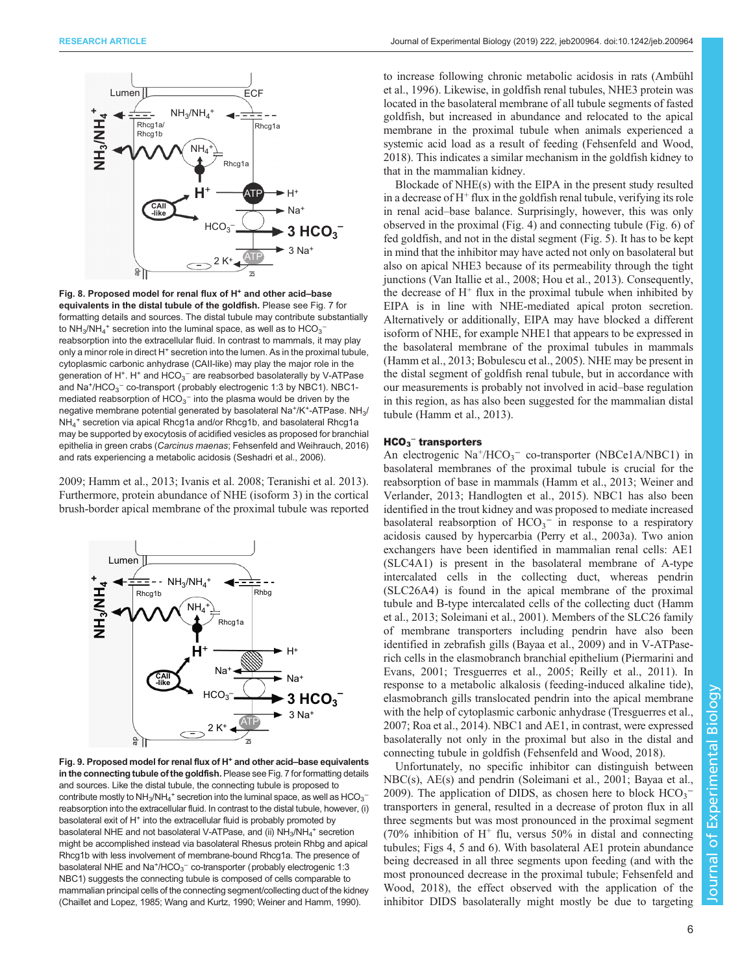<span id="page-5-0"></span>

Fig. 8. Proposed model for renal flux of H<sup>+</sup> and other acid-base equivalents in the distal tubule of the goldfish. Please see [Fig. 7](#page-4-0) for formatting details and sources. The distal tubule may contribute substantially to NH<sub>3</sub>/NH<sub>4</sub><sup>+</sup> secretion into the luminal space, as well as to HCO<sub>3</sub><sup>-</sup> reabsorption into the extracellular fluid. In contrast to mammals, it may play only a minor role in direct H<sup>+</sup> secretion into the lumen. As in the proximal tubule, cytoplasmic carbonic anhydrase (CAII-like) may play the major role in the generation of H<sup>+</sup>. H<sup>+</sup> and  $\text{HCO}_3^-$  are reabsorbed basolaterally by V-ATPase and Na<sup>+</sup>/HCO<sub>3</sub><sup>-</sup> co-transport (probably electrogenic 1:3 by NBC1). NBC1mediated reabsorption of  $HCO<sub>3</sub><sup>-</sup>$  into the plasma would be driven by the negative membrane potential generated by basolateral Na<sup>+</sup>/K<sup>+</sup>-ATPase. NH<sub>3</sub>/ NH4 <sup>+</sup> secretion via apical Rhcg1a and/or Rhcg1b, and basolateral Rhcg1a may be supported by exocytosis of acidified vesicles as proposed for branchial epithelia in green crabs (Carcinus maenas; [Fehsenfeld and Weihrauch, 2016\)](#page-6-0) and rats experiencing a metabolic acidosis [\(Seshadri et al., 2006\)](#page-7-0).

[2009](#page-7-0); [Hamm et al., 2013](#page-7-0); [Ivanis et al. 2008](#page-7-0); [Teranishi et al. 2013\)](#page-7-0). Furthermore, protein abundance of NHE (isoform 3) in the cortical brush-border apical membrane of the proximal tubule was reported



Fig. 9. Proposed model for renal flux of H<sup>+</sup> and other acid-base equivalents in the connecting tubule of the goldfish. Please see [Fig. 7](#page-4-0) for formatting details and sources. Like the distal tubule, the connecting tubule is proposed to contribute mostly to NH $_3$ /NH $_4^+$  secretion into the luminal space, as well as HCO $_3^$ reabsorption into the extracellular fluid. In contrast to the distal tubule, however, (i) basolateral exit of  $H^+$  into the extracellular fluid is probably promoted by basolateral NHE and not basolateral V-ATPase, and (ii)  $NH_3/NH_4^+$  secretion might be accomplished instead via basolateral Rhesus protein Rhbg and apical Rhcg1b with less involvement of membrane-bound Rhcg1a. The presence of basolateral NHE and Na<sup>+</sup>/HCO<sub>3</sub><sup>-</sup> co-transporter (probably electrogenic 1:3 NBC1) suggests the connecting tubule is composed of cells comparable to mammalian principal cells of the connecting segment/collecting duct of the kidney [\(Chaillet and Lopez, 1985;](#page-6-0) [Wang and Kurtz, 1990; Weiner and Hamm, 1990](#page-7-0)).

to increase following chronic metabolic acidosis in rats ([Ambühl](#page-6-0) [et al., 1996\)](#page-6-0). Likewise, in goldfish renal tubules, NHE3 protein was located in the basolateral membrane of all tubule segments of fasted goldfish, but increased in abundance and relocated to the apical membrane in the proximal tubule when animals experienced a systemic acid load as a result of feeding ([Fehsenfeld and Wood,](#page-6-0) [2018\)](#page-6-0). This indicates a similar mechanism in the goldfish kidney to that in the mammalian kidney.

Blockade of NHE(s) with the EIPA in the present study resulted in a decrease of  $H^+$  flux in the goldfish renal tubule, verifying its role in renal acid–base balance. Surprisingly, however, this was only observed in the proximal [\(Fig. 4\)](#page-3-0) and connecting tubule [\(Fig. 6\)](#page-4-0) of fed goldfish, and not in the distal segment ([Fig. 5\)](#page-3-0). It has to be kept in mind that the inhibitor may have acted not only on basolateral but also on apical NHE3 because of its permeability through the tight junctions [\(Van Itallie et al., 2008](#page-7-0); [Hou et al., 2013](#page-7-0)). Consequently, the decrease of  $H^+$  flux in the proximal tubule when inhibited by EIPA is in line with NHE-mediated apical proton secretion. Alternatively or additionally, EIPA may have blocked a different isoform of NHE, for example NHE1 that appears to be expressed in the basolateral membrane of the proximal tubules in mammals [\(Hamm et al., 2013;](#page-7-0) [Bobulescu et al., 2005\)](#page-6-0). NHE may be present in the distal segment of goldfish renal tubule, but in accordance with our measurements is probably not involved in acid–base regulation in this region, as has also been suggested for the mammalian distal tubule [\(Hamm et al., 2013](#page-7-0)).

## $HCO<sub>3</sub><sup>-</sup>$  transporters

An electrogenic Na<sup>+</sup>/HCO<sub>3</sub><sup>-</sup> co-transporter (NBCe1A/NBC1) in basolateral membranes of the proximal tubule is crucial for the reabsorption of base in mammals [\(Hamm et al., 2013](#page-7-0); [Weiner and](#page-7-0) [Verlander, 2013; Handlogten et al., 2015\)](#page-7-0). NBC1 has also been identified in the trout kidney and was proposed to mediate increased basolateral reabsorption of  $HCO_3$ <sup>-</sup> in response to a respiratory acidosis caused by hypercarbia ([Perry et al., 2003a\)](#page-7-0). Two anion exchangers have been identified in mammalian renal cells: AE1 (SLC4A1) is present in the basolateral membrane of A-type intercalated cells in the collecting duct, whereas pendrin (SLC26A4) is found in the apical membrane of the proximal tubule and B-type intercalated cells of the collecting duct [\(Hamm](#page-7-0) [et al., 2013; Soleimani et al., 2001\)](#page-7-0). Members of the SLC26 family of membrane transporters including pendrin have also been identified in zebrafish gills [\(Bayaa et al., 2009](#page-6-0)) and in V-ATPaserich cells in the elasmobranch branchial epithelium ([Piermarini and](#page-7-0) [Evans, 2001](#page-7-0); [Tresguerres et al., 2005](#page-7-0); [Reilly et al., 2011\)](#page-7-0). In response to a metabolic alkalosis (feeding-induced alkaline tide), elasmobranch gills translocated pendrin into the apical membrane with the help of cytoplasmic carbonic anhydrase ([Tresguerres et al.,](#page-7-0) [2007; Roa et al., 2014\)](#page-7-0). NBC1 and AE1, in contrast, were expressed basolaterally not only in the proximal but also in the distal and connecting tubule in goldfish ([Fehsenfeld and Wood, 2018\)](#page-6-0).

Unfortunately, no specific inhibitor can distinguish between NBC(s), AE(s) and pendrin ([Soleimani et al., 2001](#page-7-0); [Bayaa et al.,](#page-6-0) [2009\)](#page-6-0). The application of DIDS, as chosen here to block  $HCO_3^$ transporters in general, resulted in a decrease of proton flux in all three segments but was most pronounced in the proximal segment  $(70\%$  inhibition of H<sup>+</sup> flu, versus 50% in distal and connecting tubules; [Figs 4](#page-3-0), [5](#page-3-0) and [6\)](#page-4-0). With basolateral AE1 protein abundance being decreased in all three segments upon feeding (and with the most pronounced decrease in the proximal tubule; [Fehsenfeld and](#page-6-0) [Wood, 2018](#page-6-0)), the effect observed with the application of the inhibitor DIDS basolaterally might mostly be due to targeting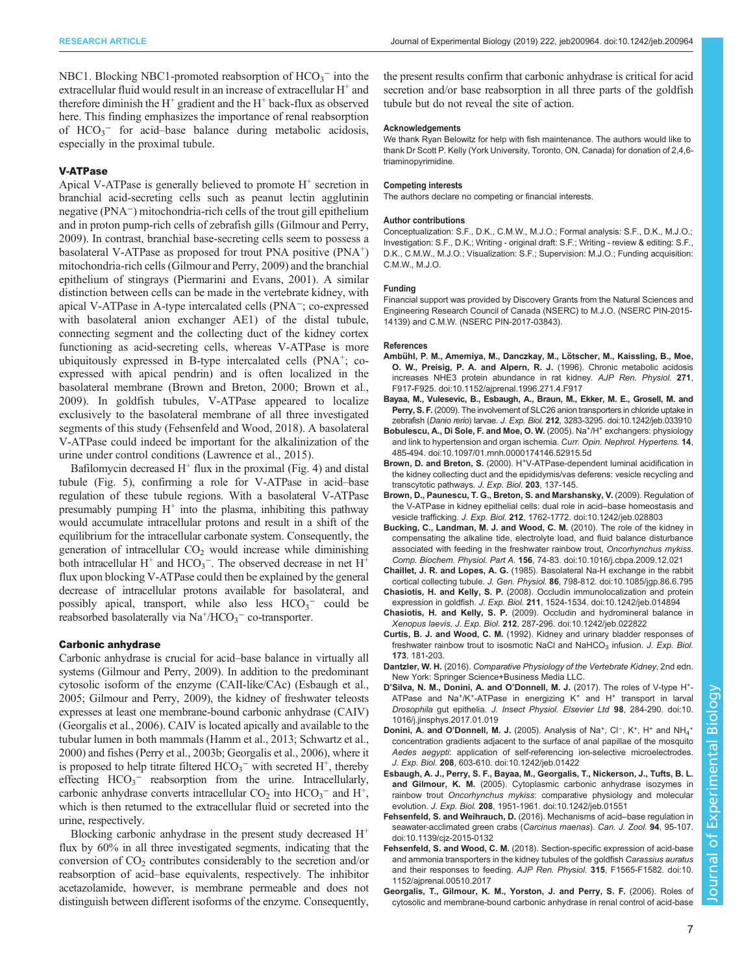<span id="page-6-0"></span>NBC1. Blocking NBC1-promoted reabsorption of  $HCO_3^-$  into the extracellular fluid would result in an increase of extracellular  $H<sup>+</sup>$  and therefore diminish the  $H^+$  gradient and the  $H^+$  back-flux as observed here. This finding emphasizes the importance of renal reabsorption of HCO<sub>3</sub><sup>-</sup> for acid-base balance during metabolic acidosis, especially in the proximal tubule.

#### V-ATPase

Apical V-ATPase is generally believed to promote  $H^+$  secretion in branchial acid-secreting cells such as peanut lectin agglutinin negative (PNA−) mitochondria-rich cells of the trout gill epithelium and in proton pump-rich cells of zebrafish gills [\(Gilmour and Perry,](#page-7-0) [2009](#page-7-0)). In contrast, branchial base-secreting cells seem to possess a basolateral V-ATPase as proposed for trout PNA positive  $(PNA<sup>+</sup>)$ mitochondria-rich cells ([Gilmour and Perry, 2009\)](#page-7-0) and the branchial epithelium of stingrays [\(Piermarini and Evans, 2001\)](#page-7-0). A similar distinction between cells can be made in the vertebrate kidney, with apical V-ATPase in A-type intercalated cells (PNA−; co-expressed with basolateral anion exchanger AE1) of the distal tubule, connecting segment and the collecting duct of the kidney cortex functioning as acid-secreting cells, whereas V-ATPase is more ubiquitously expressed in B-type intercalated cells (PNA<sup>+</sup>; coexpressed with apical pendrin) and is often localized in the basolateral membrane (Brown and Breton, 2000; Brown et al., 2009). In goldfish tubules, V-ATPase appeared to localize exclusively to the basolateral membrane of all three investigated segments of this study (Fehsenfeld and Wood, 2018). A basolateral V-ATPase could indeed be important for the alkalinization of the urine under control conditions [\(Lawrence et al., 2015](#page-7-0)).

Bafilomycin decreased  $H^+$  flux in the proximal [\(Fig. 4\)](#page-3-0) and distal tubule ([Fig. 5](#page-3-0)), confirming a role for V-ATPase in acid–base regulation of these tubule regions. With a basolateral V-ATPase presumably pumping  $H^+$  into the plasma, inhibiting this pathway would accumulate intracellular protons and result in a shift of the equilibrium for the intracellular carbonate system. Consequently, the generation of intracellular  $CO<sub>2</sub>$  would increase while diminishing both intracellular H<sup>+</sup> and HCO<sub>3</sub><sup>-</sup>. The observed decrease in net  $H^+$ flux upon blocking V-ATPase could then be explained by the general decrease of intracellular protons available for basolateral, and possibly apical, transport, while also less  $HCO_3^-$  could be reabsorbed basolaterally via  $Na^+/HCO_3^-$  co-transporter.

#### Carbonic anhydrase

Carbonic anhydrase is crucial for acid–base balance in virtually all systems ([Gilmour and Perry, 2009\)](#page-7-0). In addition to the predominant cytosolic isoform of the enzyme (CAII-like/CAc) (Esbaugh et al., 2005; [Gilmour and Perry, 2009](#page-7-0)), the kidney of freshwater teleosts expresses at least one membrane-bound carbonic anhydrase (CAIV) (Georgalis et al., 2006). CAIV is located apically and available to the tubular lumen in both mammals ([Hamm et al., 2013](#page-7-0); [Schwartz et al.,](#page-7-0) [2000\)](#page-7-0) and fishes ([Perry et al., 2003b](#page-7-0); Georgalis et al., 2006), where it is proposed to help titrate filtered  $HCO<sub>3</sub><sup>-</sup>$  with secreted  $H<sup>+</sup>$ , thereby effecting  $HCO_3^-$  reabsorption from the urine. Intracellularly, carbonic anhydrase converts intracellular  $CO_2$  into  $HCO_3^-$  and  $H^+$ , which is then returned to the extracellular fluid or secreted into the urine, respectively.

Blocking carbonic anhydrase in the present study decreased  $H^+$ flux by 60% in all three investigated segments, indicating that the conversion of CO2 contributes considerably to the secretion and/or reabsorption of acid–base equivalents, respectively. The inhibitor acetazolamide, however, is membrane permeable and does not distinguish between different isoforms of the enzyme. Consequently,

the present results confirm that carbonic anhydrase is critical for acid secretion and/or base reabsorption in all three parts of the goldfish tubule but do not reveal the site of action.

#### **Acknowledgements**

We thank Ryan Belowitz for help with fish maintenance. The authors would like to thank Dr Scott P. Kelly (York University, Toronto, ON, Canada) for donation of 2,4,6 triaminopyrimidine.

#### Competing interests

The authors declare no competing or financial interests.

#### Author contributions

Conceptualization: S.F., D.K., C.M.W., M.J.O.; Formal analysis: S.F., D.K., M.J.O.; Investigation: S.F., D.K.; Writing - original draft: S.F.; Writing - review & editing: S.F., D.K., C.M.W., M.J.O.; Visualization: S.F.; Supervision: M.J.O.; Funding acquisition: C.M.W., M.J.O.

#### Funding

Financial support was provided by Discovery Grants from the Natural Sciences and Engineering Research Council of Canada (NSERC) to M.J.O. (NSERC PIN-2015- 14139) and C.M.W. (NSERC PIN-2017-03843).

#### References

- Ambühl, P. M., Amemiya, M., Danczkay, M., Lötscher, M., Kaissling, B., Moe, [O. W., Preisig, P. A. and Alpern, R. J.](https://doi.org/10.1152/ajprenal.1996.271.4.F917) (1996). Chronic metabolic acidosis [increases NHE3 protein abundance in rat kidney.](https://doi.org/10.1152/ajprenal.1996.271.4.F917) AJP Ren. Physiol. 271, [F917-F925. doi:10.1152/ajprenal.1996.271.4.F917](https://doi.org/10.1152/ajprenal.1996.271.4.F917)
- [Bayaa, M., Vulesevic, B., Esbaugh, A., Braun, M., Ekker, M. E., Grosell, M. and](https://doi.org/10.1242/jeb.033910) Perry, S. F. [\(2009\). The involvement of SLC26 anion transporters in chloride uptake in](https://doi.org/10.1242/jeb.033910) zebrafish (Danio rerio) larvae. J. Exp. Biol. 212[, 3283-3295. doi:10.1242/jeb.033910](https://doi.org/10.1242/jeb.033910)
- [Bobulescu,](https://doi.org/10.1097/01.mnh.0000174146.52915.5d) [A.,](https://doi.org/10.1097/01.mnh.0000174146.52915.5d) [Di](https://doi.org/10.1097/01.mnh.0000174146.52915.5d) [Sole,](https://doi.org/10.1097/01.mnh.0000174146.52915.5d) [F.](https://doi.org/10.1097/01.mnh.0000174146.52915.5d) [and](https://doi.org/10.1097/01.mnh.0000174146.52915.5d) [Moe,](https://doi.org/10.1097/01.mnh.0000174146.52915.5d) [O.](https://doi.org/10.1097/01.mnh.0000174146.52915.5d) [W.](https://doi.org/10.1097/01.mnh.0000174146.52915.5d) (2005). Na<sup>+</sup>/H<sup>+</sup> [exchangers: physiology](https://doi.org/10.1097/01.mnh.0000174146.52915.5d) [and link to hypertension and organ ischemia.](https://doi.org/10.1097/01.mnh.0000174146.52915.5d) Curr. Opin. Nephrol. Hypertens. 14, [485-494. doi:10.1097/01.mnh.0000174146.52915.5d](https://doi.org/10.1097/01.mnh.0000174146.52915.5d)
- Brown, D. and Breton, S. (2000). H<sup>+</sup>V-ATPase-dependent luminal acidification in the kidney collecting duct and the epididymis/vas deferens: vesicle recycling and transcytotic pathways. J. Exp. Biol. 203, 137-145.
- [Brown, D., Paunescu, T. G., Breton, S. and Marshansky, V.](https://doi.org/10.1242/jeb.028803) (2009). Regulation of [the V-ATPase in kidney epithelial cells: dual role in acid](https://doi.org/10.1242/jeb.028803)–base homeostasis and vesicle trafficking. J. Exp. Biol. 212[, 1762-1772. doi:10.1242/jeb.028803](https://doi.org/10.1242/jeb.028803)
- [Bucking, C., Landman, M. J. and Wood, C. M.](https://doi.org/10.1016/j.cbpa.2009.12.021) (2010). The role of the kidney in [compensating the alkaline tide, electrolyte load, and fluid balance disturbance](https://doi.org/10.1016/j.cbpa.2009.12.021) [associated with feeding in the freshwater rainbow trout,](https://doi.org/10.1016/j.cbpa.2009.12.021) Oncorhynchus mykiss. Comp. Biochem. Physiol. Part A. 156[, 74-83. doi:10.1016/j.cbpa.2009.12.021](https://doi.org/10.1016/j.cbpa.2009.12.021)
- Chaillet, J. R. and Lopes, A. G. [\(1985\). Basolateral Na-H exchange in the rabbit](https://doi.org/10.1085/jgp.86.6.795) cortical collecting tubule. J. Gen. Physiol. 86[, 798-812. doi:10.1085/jgp.86.6.795](https://doi.org/10.1085/jgp.86.6.795)
- Chasiotis, H. and Kelly, S. P. [\(2008\). Occludin immunolocalization and protein](https://doi.org/10.1242/jeb.014894) expression in goldfish. J. Exp. Biol. 211[, 1524-1534. doi:10.1242/jeb.014894](https://doi.org/10.1242/jeb.014894)
- Chasiotis, H. and Kelly, S. P. [\(2009\). Occludin and hydromineral balance in](https://doi.org/10.1242/jeb.022822) Xenopus laevis. J. Exp. Biol. 212[, 287-296. doi:10.1242/jeb.022822](https://doi.org/10.1242/jeb.022822)
- Curtis, B. J. and Wood, C. M. (1992). Kidney and urinary bladder responses of freshwater rainbow trout to isosmotic NaCl and NaHCO<sub>3</sub> infusion. J. Exp. Biol. 173, 181-203.
- Dantzler, W. H. (2016). Comparative Physiology of the Vertebrate Kidney, 2nd edn. New York: Springer Science+Business Media LLC.
- D'[Silva, N. M., Donini, A. and O](https://doi.org/10.1016/j.jinsphys.2017.01.019)'Donnell, M. J. (2017). The roles of V[-](https://doi.org/10.1016/j.jinsphys.2017.01.019)type H<sup>+</sup>-[ATPase and Na](https://doi.org/10.1016/j.jinsphys.2017.01.019)<sup>+</sup>/K<sup>+</sup>-ATPase in energizing K<sup>+</sup> [and H](https://doi.org/10.1016/j.jinsphys.2017.01.019)<sup>+</sup> [transport in larval](https://doi.org/10.1016/j.jinsphys.2017.01.019) Drosophila gut epithelia. [J. Insect Physiol. Elsevier Ltd](https://doi.org/10.1016/j.jinsphys.2017.01.019) 98, 284-290. doi:10. [1016/j.jinsphys.2017.01.019](https://doi.org/10.1016/j.jinsphys.2017.01.019)
- Donini, A. and O'Donnell, M. J. [\(2005\). Analysis of Na](https://doi.org/10.1242/jeb.01422)<sup>+</sup>[, Cl](https://doi.org/10.1242/jeb.01422)<sup>−</sup>, K<sup>[+](https://doi.org/10.1242/jeb.01422)</sup>, H<sup>+</sup> and NH<sub>4</sub><sup>+</sup> [concentration gradients adjacent to the surface of anal papillae of the mosquito](https://doi.org/10.1242/jeb.01422) Aedes aegypti[: application of self-referencing ion-selective microelectrodes.](https://doi.org/10.1242/jeb.01422) J. Exp. Biol. 208[, 603-610. doi:10.1242/jeb.01422](https://doi.org/10.1242/jeb.01422)
- [Esbaugh, A. J., Perry, S. F., Bayaa, M., Georgalis, T., Nickerson, J., Tufts, B. L.](https://doi.org/10.1242/jeb.01551) and Gilmour, K. M. [\(2005\). Cytoplasmic carbonic anhydrase isozymes in](https://doi.org/10.1242/jeb.01551) rainbow trout Oncorhynchus mykiss[: comparative physiology and molecular](https://doi.org/10.1242/jeb.01551) evolution. J. Exp. Biol. 208[, 1951-1961. doi:10.1242/jeb.01551](https://doi.org/10.1242/jeb.01551)
- [Fehsenfeld, S. and Weihrauch, D.](https://doi.org/10.1139/cjz-2015-0132) (2016). Mechanisms of acid–base regulation in [seawater-acclimated green crabs \(](https://doi.org/10.1139/cjz-2015-0132)Carcinus maenas). Can. J. Zool. 94, 95-107. [doi:10.1139/cjz-2015-0132](https://doi.org/10.1139/cjz-2015-0132)
- Fehsenfeld, S. and Wood, C. M. [\(2018\). Section-specific expression of acid-base](https://doi.org/10.1152/ajprenal.00510.2017) [and ammonia transporters in the kidney tubules of the goldfish](https://doi.org/10.1152/ajprenal.00510.2017) Carassius auratus [and their responses to feeding.](https://doi.org/10.1152/ajprenal.00510.2017) AJP Ren. Physiol. 315, F1565-F1582. doi:10. [1152/ajprenal.00510.2017](https://doi.org/10.1152/ajprenal.00510.2017)
- [Georgalis, T., Gilmour, K. M., Yorston, J. and Perry, S. F.](https://doi.org/10.1152/ajprenal.00328.2005) (2006). Roles of [cytosolic and membrane-bound carbonic anhydrase in renal control of acid-base](https://doi.org/10.1152/ajprenal.00328.2005)